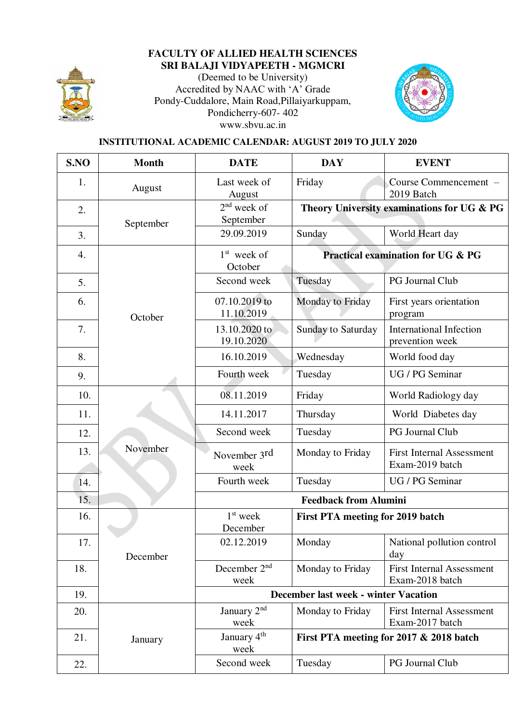

## **FACULTY OF ALLIED HEALTH SCIENCES SRI BALAJI VIDYAPEETH - MGMCRI**

(Deemed to be University) Accredited by NAAC with 'A' Grade Pondy-Cuddalore, Main Road,Pillaiyarkuppam, Pondicherry-607- 402 www.sbvu.ac.in



## **INSTITUTIONAL ACADEMIC CALENDAR: AUGUST 2019 TO JULY 2020**

| S.NO | <b>Month</b> | <b>DATE</b>                                 | <b>DAY</b>                                   | <b>EVENT</b>                                        |
|------|--------------|---------------------------------------------|----------------------------------------------|-----------------------------------------------------|
| 1.   | August       | Last week of<br>August                      | Friday                                       | Course Commencement -<br>2019 Batch                 |
| 2.   | September    | $2nd$ week of<br>September                  | Theory University examinations for UG & PG   |                                                     |
| 3.   |              | 29.09.2019                                  | Sunday                                       | World Heart day                                     |
| 4.   |              | $1st$ week of<br>October                    | <b>Practical examination for UG &amp; PG</b> |                                                     |
| 5.   |              | Second week                                 | Tuesday                                      | PG Journal Club                                     |
| 6.   | October      | 07.10.2019 to<br>11.10.2019                 | Monday to Friday                             | First years orientation<br>program                  |
| 7.   |              | 13.10.2020 to<br>19.10.2020                 | <b>Sunday to Saturday</b>                    | <b>International Infection</b><br>prevention week   |
| 8.   |              | 16.10.2019                                  | Wednesday                                    | World food day                                      |
| 9.   |              | Fourth week                                 | Tuesday                                      | UG / PG Seminar                                     |
| 10.  |              | 08.11.2019                                  | Friday                                       | World Radiology day                                 |
| 11.  |              | 14.11.2017                                  | Thursday                                     | World Diabetes day                                  |
| 12.  |              | Second week                                 | Tuesday                                      | <b>PG Journal Club</b>                              |
| 13.  | November     | November 3rd<br>week                        | Monday to Friday                             | <b>First Internal Assessment</b><br>Exam-2019 batch |
| 14.  |              | Fourth week                                 | Tuesday                                      | UG / PG Seminar                                     |
| 15.  |              | <b>Feedback from Alumini</b>                |                                              |                                                     |
| 16.  |              | $1st$ week<br>December                      | <b>First PTA meeting for 2019 batch</b>      |                                                     |
| 17.  | December     | 02.12.2019                                  | Monday                                       | National pollution control<br>day                   |
| 18.  |              | December 2 <sup>nd</sup><br>week            | Monday to Friday                             | <b>First Internal Assessment</b><br>Exam-2018 batch |
| 19.  |              | <b>December last week - winter Vacation</b> |                                              |                                                     |
| 20.  |              | January 2 <sup>nd</sup><br>week             | Monday to Friday                             | <b>First Internal Assessment</b><br>Exam-2017 batch |
| 21.  | January      | January 4 <sup>th</sup><br>week             | First PTA meeting for 2017 & 2018 batch      |                                                     |
| 22.  |              | Second week                                 | Tuesday                                      | PG Journal Club                                     |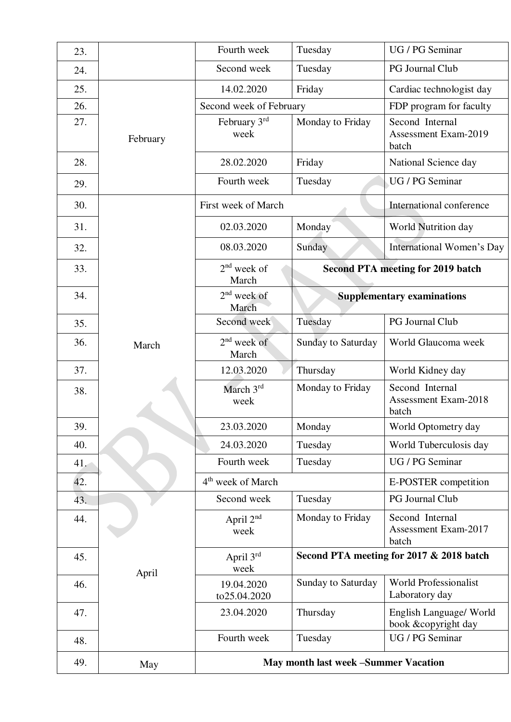| 23. |          | Fourth week                   | Tuesday            | UG / PG Seminar                                         |
|-----|----------|-------------------------------|--------------------|---------------------------------------------------------|
| 24. |          | Second week                   | Tuesday            | PG Journal Club                                         |
| 25. |          | 14.02.2020                    | Friday             | Cardiac technologist day                                |
| 26. |          | Second week of February       |                    | FDP program for faculty                                 |
| 27. | February | February 3rd<br>week          | Monday to Friday   | Second Internal<br><b>Assessment Exam-2019</b><br>batch |
| 28. |          | 28.02.2020                    | Friday             | National Science day                                    |
| 29. |          | Fourth week                   | Tuesday            | UG / PG Seminar                                         |
| 30. |          | First week of March           |                    | International conference                                |
| 31. |          | 02.03.2020                    | Monday             | World Nutrition day                                     |
| 32. |          | 08.03.2020                    | Sunday             | International Women's Day                               |
| 33. |          | $2nd$ week of<br>March        |                    | <b>Second PTA meeting for 2019 batch</b>                |
| 34. |          | $2nd$ week of<br>March        |                    | <b>Supplementary examinations</b>                       |
| 35. |          | Second week                   | Tuesday            | PG Journal Club                                         |
| 36. | March    | $2nd$ week of<br>March        | Sunday to Saturday | World Glaucoma week                                     |
| 37. |          | 12.03.2020                    | Thursday           | World Kidney day                                        |
| 38. |          | March 3rd<br>week             | Monday to Friday   | Second Internal<br><b>Assessment Exam-2018</b><br>batch |
| 39. |          | 23.03.2020                    | Monday             | World Optometry day                                     |
| 40. |          | 24.03.2020                    | Tuesday            | World Tuberculosis day                                  |
| 41. |          | Fourth week                   | Tuesday            | UG / PG Seminar                                         |
| 42. |          |                               |                    |                                                         |
|     |          | 4 <sup>th</sup> week of March |                    | E-POSTER competition                                    |
| 43. |          | Second week                   | Tuesday            | PG Journal Club                                         |
| 44. |          | April 2 <sup>nd</sup><br>week | Monday to Friday   | Second Internal<br><b>Assessment Exam-2017</b><br>batch |
| 45. |          | April 3rd<br>week             |                    | Second PTA meeting for 2017 & 2018 batch                |
| 46. | April    | 19.04.2020<br>to25.04.2020    | Sunday to Saturday | <b>World Professionalist</b><br>Laboratory day          |
| 47. |          | 23.04.2020                    | Thursday           | English Language/ World<br>book &copyright day          |
| 48. |          | Fourth week                   | Tuesday            | UG / PG Seminar                                         |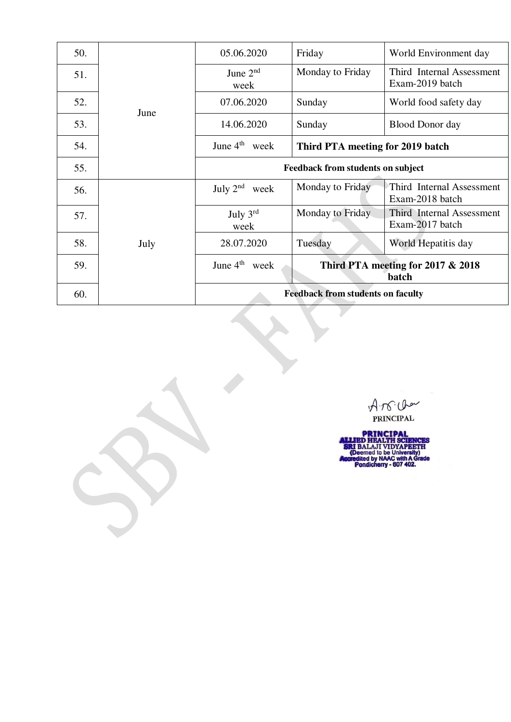| 50. | June | 05.06.2020                               | Friday                                     | World Environment day                        |  |
|-----|------|------------------------------------------|--------------------------------------------|----------------------------------------------|--|
| 51. |      | June $2nd$<br>week                       | Monday to Friday                           | Third Internal Assessment<br>Exam-2019 batch |  |
| 52. |      | 07.06.2020                               | Sunday                                     | World food safety day                        |  |
| 53. |      | 14.06.2020                               | Sunday                                     | <b>Blood Donor day</b>                       |  |
| 54. |      | June $4th$ week                          | Third PTA meeting for 2019 batch           |                                              |  |
| 55. |      | <b>Feedback from students on subject</b> |                                            |                                              |  |
| 56. |      | July $2nd$<br>week                       | Monday to Friday                           | Third Internal Assessment<br>Exam-2018 batch |  |
| 57. |      | July $3^{\text{rd}}$<br>week             | Monday to Friday                           | Third Internal Assessment<br>Exam-2017 batch |  |
| 58. | July | 28.07.2020                               | Tuesday                                    | World Hepatitis day                          |  |
| 59. |      | June $4^{th}$ week                       | Third PTA meeting for 2017 & 2018<br>batch |                                              |  |
| 60. |      | <b>Feedback from students on faculty</b> |                                            |                                              |  |

A.N. Che

 $\overline{L}$ 

**PRINCIPAL<br>ALLIED HEALTH SCIENCES<br>SRI BALAJI VIDYAPEETH<br>(Deemed to be University)<br>Accredited by NAAC with A Grade<br>Pondicherry - 607 402.**